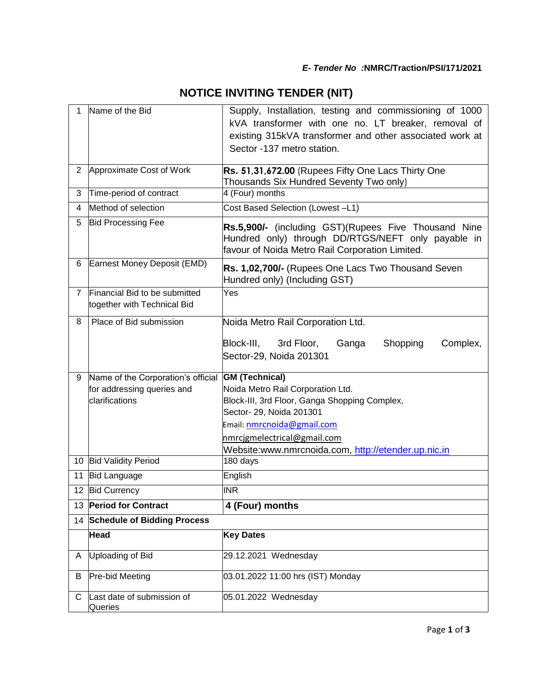|  | <b>NOTICE INVITING TENDER (NIT)</b> |  |  |
|--|-------------------------------------|--|--|
|--|-------------------------------------|--|--|

| 1              | Name of the Bid                                              | Supply, Installation, testing and commissioning of 1000<br>kVA transformer with one no. LT breaker, removal of<br>existing 315kVA transformer and other associated work at<br>Sector -137 metro station. |
|----------------|--------------------------------------------------------------|----------------------------------------------------------------------------------------------------------------------------------------------------------------------------------------------------------|
| $\overline{2}$ | Approximate Cost of Work                                     | Rs. 51,31,672.00 (Rupees Fifty One Lacs Thirty One<br>Thousands Six Hundred Seventy Two only)                                                                                                            |
| 3              | Time-period of contract                                      | 4 (Four) months                                                                                                                                                                                          |
| 4              | Method of selection                                          | Cost Based Selection (Lowest-L1)                                                                                                                                                                         |
| 5              | <b>Bid Processing Fee</b>                                    | Rs.5,900/- (including GST)(Rupees Five Thousand Nine<br>Hundred only) through DD/RTGS/NEFT only payable in<br>favour of Noida Metro Rail Corporation Limited.                                            |
| 6              | Earnest Money Deposit (EMD)                                  | Rs. 1,02,700/- (Rupees One Lacs Two Thousand Seven<br>Hundred only) (Including GST)                                                                                                                      |
| $\overline{7}$ | Financial Bid to be submitted<br>together with Technical Bid | Yes                                                                                                                                                                                                      |
| 8              | Place of Bid submission                                      | Noida Metro Rail Corporation Ltd.                                                                                                                                                                        |
|                |                                                              | Block-III,<br>Shopping<br>3rd Floor,<br>Ganga<br>Complex,<br>Sector-29, Noida 201301                                                                                                                     |
| 9              | Name of the Corporation's official GM (Technical)            |                                                                                                                                                                                                          |
|                | for addressing queries and<br>clarifications                 | Noida Metro Rail Corporation Ltd.<br>Block-III, 3rd Floor, Ganga Shopping Complex,                                                                                                                       |
|                |                                                              | Sector- 29, Noida 201301                                                                                                                                                                                 |
|                |                                                              | Email: nmrcnoida@gmail.com                                                                                                                                                                               |
|                |                                                              | nmrcjgmelectrical@gmail.com                                                                                                                                                                              |
|                |                                                              | Website:www.nmrcnoida.com, http://etender.up.nic.in                                                                                                                                                      |
|                | 10 Bid Validity Period                                       | 180 days                                                                                                                                                                                                 |
| 11             | <b>Bid Language</b>                                          | English                                                                                                                                                                                                  |
|                | 12 Bid Currency                                              | <b>INR</b>                                                                                                                                                                                               |
|                | 13 Period for Contract                                       | 4 (Four) months                                                                                                                                                                                          |
|                | 14 Schedule of Bidding Process                               |                                                                                                                                                                                                          |
|                | Head                                                         | <b>Key Dates</b>                                                                                                                                                                                         |
| A              | Uploading of Bid                                             | 29.12.2021 Wednesday                                                                                                                                                                                     |
| B              | Pre-bid Meeting                                              | 03.01.2022 11:00 hrs (IST) Monday                                                                                                                                                                        |
| С              | Last date of submission of<br>Queries                        | 05.01.2022 Wednesday                                                                                                                                                                                     |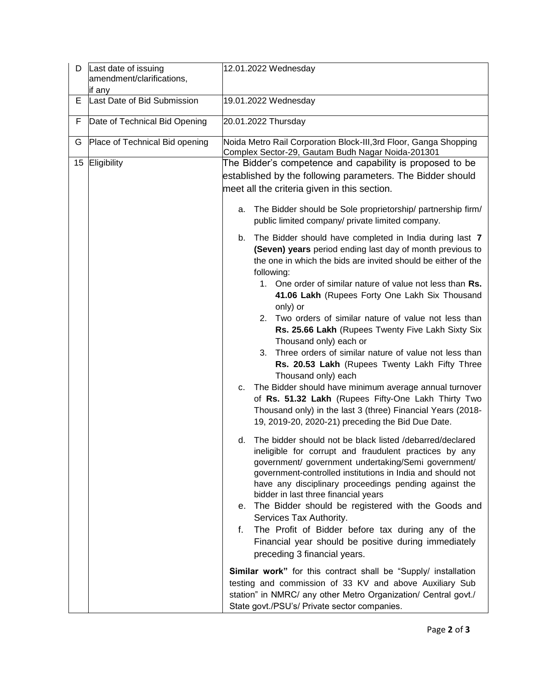| D  | Last date of issuing<br>amendment/clarifications,<br>if any | 12.01.2022 Wednesday                                                                                                                                                                                                                                                                                                                                                                                                                                                                                                                                                                                                                                                                                                                                                                                                                                                                                                                                                                                                                                                                                                                                                                                                                                                                                                                                                                                                      |
|----|-------------------------------------------------------------|---------------------------------------------------------------------------------------------------------------------------------------------------------------------------------------------------------------------------------------------------------------------------------------------------------------------------------------------------------------------------------------------------------------------------------------------------------------------------------------------------------------------------------------------------------------------------------------------------------------------------------------------------------------------------------------------------------------------------------------------------------------------------------------------------------------------------------------------------------------------------------------------------------------------------------------------------------------------------------------------------------------------------------------------------------------------------------------------------------------------------------------------------------------------------------------------------------------------------------------------------------------------------------------------------------------------------------------------------------------------------------------------------------------------------|
| Е  | Last Date of Bid Submission                                 | 19.01.2022 Wednesday                                                                                                                                                                                                                                                                                                                                                                                                                                                                                                                                                                                                                                                                                                                                                                                                                                                                                                                                                                                                                                                                                                                                                                                                                                                                                                                                                                                                      |
| F  | Date of Technical Bid Opening                               | 20.01.2022 Thursday                                                                                                                                                                                                                                                                                                                                                                                                                                                                                                                                                                                                                                                                                                                                                                                                                                                                                                                                                                                                                                                                                                                                                                                                                                                                                                                                                                                                       |
| G  | Place of Technical Bid opening                              | Noida Metro Rail Corporation Block-III, 3rd Floor, Ganga Shopping<br>Complex Sector-29, Gautam Budh Nagar Noida-201301                                                                                                                                                                                                                                                                                                                                                                                                                                                                                                                                                                                                                                                                                                                                                                                                                                                                                                                                                                                                                                                                                                                                                                                                                                                                                                    |
| 15 | Eligibility                                                 | The Bidder's competence and capability is proposed to be<br>established by the following parameters. The Bidder should<br>meet all the criteria given in this section.                                                                                                                                                                                                                                                                                                                                                                                                                                                                                                                                                                                                                                                                                                                                                                                                                                                                                                                                                                                                                                                                                                                                                                                                                                                    |
|    |                                                             | The Bidder should be Sole proprietorship/ partnership firm/<br>a.<br>public limited company/ private limited company.                                                                                                                                                                                                                                                                                                                                                                                                                                                                                                                                                                                                                                                                                                                                                                                                                                                                                                                                                                                                                                                                                                                                                                                                                                                                                                     |
|    |                                                             | The Bidder should have completed in India during last 7<br>b.<br>(Seven) years period ending last day of month previous to<br>the one in which the bids are invited should be either of the<br>following:<br>1. One order of similar nature of value not less than Rs.<br>41.06 Lakh (Rupees Forty One Lakh Six Thousand<br>only) or<br>2. Two orders of similar nature of value not less than<br>Rs. 25.66 Lakh (Rupees Twenty Five Lakh Sixty Six<br>Thousand only) each or<br>Three orders of similar nature of value not less than<br>3.<br>Rs. 20.53 Lakh (Rupees Twenty Lakh Fifty Three<br>Thousand only) each<br>The Bidder should have minimum average annual turnover<br>C.<br>of Rs. 51.32 Lakh (Rupees Fifty-One Lakh Thirty Two<br>Thousand only) in the last 3 (three) Financial Years (2018-<br>19, 2019-20, 2020-21) preceding the Bid Due Date.<br>The bidder should not be black listed /debarred/declared<br>d.<br>ineligible for corrupt and fraudulent practices by any<br>government/ government undertaking/Semi government/<br>government-controlled institutions in India and should not<br>have any disciplinary proceedings pending against the<br>bidder in last three financial years<br>e. The Bidder should be registered with the Goods and<br>Services Tax Authority.<br>The Profit of Bidder before tax during any of the<br>f.<br>Financial year should be positive during immediately |
|    |                                                             | preceding 3 financial years.<br>Similar work" for this contract shall be "Supply/ installation<br>testing and commission of 33 KV and above Auxiliary Sub<br>station" in NMRC/ any other Metro Organization/ Central govt./                                                                                                                                                                                                                                                                                                                                                                                                                                                                                                                                                                                                                                                                                                                                                                                                                                                                                                                                                                                                                                                                                                                                                                                               |
|    |                                                             | State govt./PSU's/ Private sector companies.                                                                                                                                                                                                                                                                                                                                                                                                                                                                                                                                                                                                                                                                                                                                                                                                                                                                                                                                                                                                                                                                                                                                                                                                                                                                                                                                                                              |